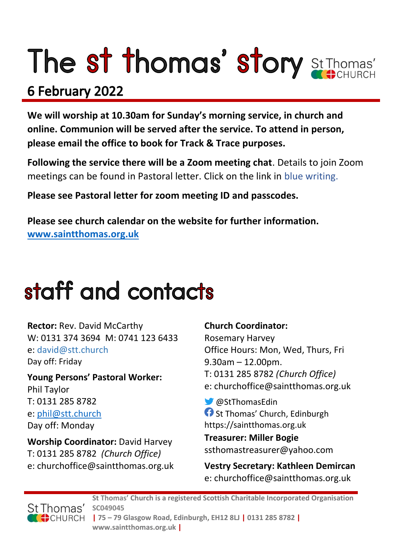# The st thomas' story St Thomas'

### 6 February 2022

**We will worship at 10.30am for Sunday's morning service, in church and online. Communion will be served after the service. To attend in person, please email the office to book for Track & Trace purposes.**

**Following the service there will be a Zoom meeting chat**. Details to join Zoom meetings can be found in Pastoral letter. Click on the link in blue writing.

**Please see Pastoral letter for zoom meeting ID and passcodes.**

**Please see church calendar on the website for further information. [www.saintthomas.org.uk](http://www.saintthomas.org.uk/)**

### staff and contacts

**Rector:** Rev. David McCarthy W: 0131 374 3694 M: 0741 123 6433 e: david@stt.church Day off: Friday

**Young Persons' Pastoral Worker:** Phil Taylor T: 0131 285 8782 e: [phil@stt.church](mailto:phil@stt.church) Day off: Monday

**Worship Coordinator:** David Harvey T: 0131 285 8782 *(Church Office)* e: churchoffice@saintthomas.org.uk

#### **Church Coordinator:**

Rosemary Harvey Office Hours: Mon, Wed, Thurs, Fri 9.30am – 12.00pm. T: 0131 285 8782 *(Church Office)* e: churchoffice@saintthomas.org.uk

@StThomasEdin **f** St Thomas' Church, Edinburgh https://saintthomas.org.uk

**Treasurer: Miller Bogie** ssthomastreasurer@yahoo.com

**Vestry Secretary: Kathleen Demircan**  e: churchoffice@saintthomas.org.uk



**St Thomas' Church is a registered Scottish Charitable Incorporated Organisation SC049045 | 75 – 79 Glasgow Road, Edinburgh, EH12 8LJ | 0131 285 8782 | www.saintthomas.org.uk |**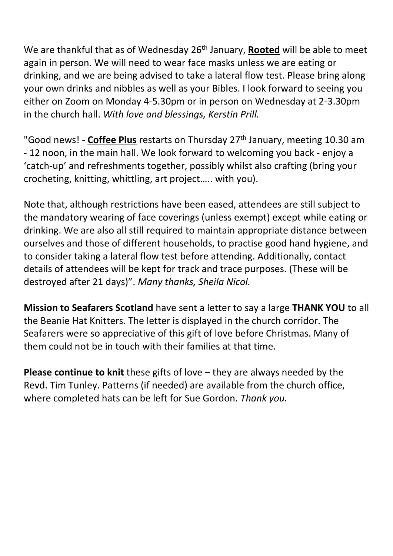We are thankful that as of Wednesday 26th January, **Rooted** will be able to meet again in person. We will need to wear face masks unless we are eating or drinking, and we are being advised to take a lateral flow test. Please bring along your own drinks and nibbles as well as your Bibles. I look forward to seeing you either on Zoom on Monday 4-5.30pm or in person on Wednesday at 2-3.30pm in the church hall. *With love and blessings, Kerstin Prill.*

"Good news! - **Coffee Plus** restarts on Thursday 27th January, meeting 10.30 am - 12 noon, in the main hall. We look forward to welcoming you back - enjoy a 'catch-up' and refreshments together, possibly whilst also crafting (bring your crocheting, knitting, whittling, art project….. with you).

Note that, although restrictions have been eased, attendees are still subject to the mandatory wearing of face coverings (unless exempt) except while eating or drinking. We are also all still required to maintain appropriate distance between ourselves and those of different households, to practise good hand hygiene, and to consider taking a lateral flow test before attending. Additionally, contact details of attendees will be kept for track and trace purposes. (These will be destroyed after 21 days)". *Many thanks, Sheila Nicol.*

**Mission to Seafarers Scotland** have sent a letter to say a large **THANK YOU** to all the Beanie Hat Knitters. The letter is displayed in the church corridor. The Seafarers were so appreciative of this gift of love before Christmas. Many of them could not be in touch with their families at that time.

**Please continue to knit** these gifts of love – they are always needed by the Revd. Tim Tunley. Patterns (if needed) are available from the church office, where completed hats can be left for Sue Gordon. *Thank you.*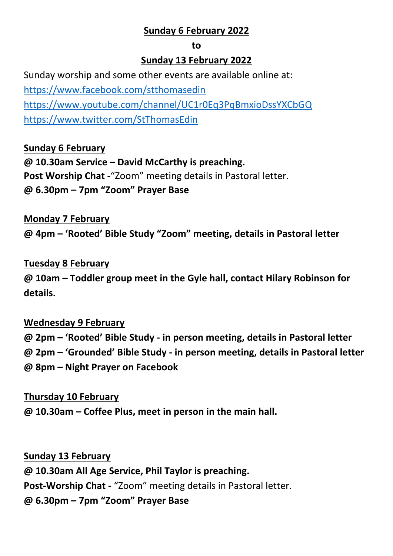#### **Sunday 6 February 2022**

#### **to**

#### **Sunday 13 February 2022**

Sunday worship and some other events are available online at: <https://www.facebook.com/stthomasedin> <https://www.youtube.com/channel/UC1r0Eq3PqBmxioDssYXCbGQ> <https://www.twitter.com/StThomasEdin>

**Sunday 6 February @ 10.30am Service – David McCarthy is preaching. Post Worship Chat -**"Zoom" meeting details in Pastoral letter. **@ 6.30pm – 7pm "Zoom" Prayer Base**

#### **Monday 7 February**

**@ 4pm – 'Rooted' Bible Study "Zoom" meeting, details in Pastoral letter**

#### **Tuesday 8 February**

**@ 10am – Toddler group meet in the Gyle hall, contact Hilary Robinson for details.**

#### **Wednesday 9 February**

**@ 2pm – 'Rooted' Bible Study - in person meeting, details in Pastoral letter**

**@ 2pm – 'Grounded' Bible Study - in person meeting, details in Pastoral letter**

**@ 8pm – Night Prayer on Facebook** 

#### **Thursday 10 February**

**@ 10.30am – Coffee Plus, meet in person in the main hall.**

**Sunday 13 February**

**@ 10.30am All Age Service, Phil Taylor is preaching.**

**Post-Worship Chat -** "Zoom" meeting details in Pastoral letter.

**@ 6.30pm – 7pm "Zoom" Prayer Base**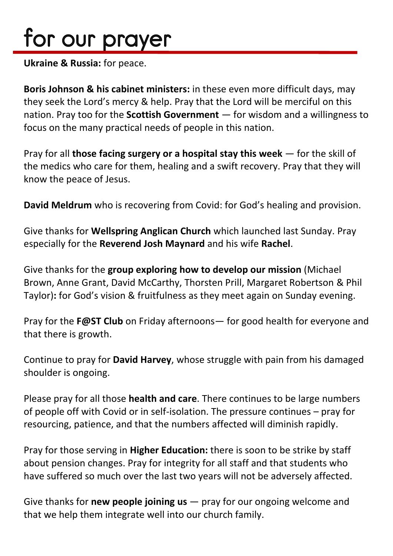## for our prayer

**Ukraine & Russia:** for peace.

**Boris Johnson & his cabinet ministers:** in these even more difficult days, may they seek the Lord's mercy & help. Pray that the Lord will be merciful on this nation. Pray too for the **Scottish Government** — for wisdom and a willingness to focus on the many practical needs of people in this nation.

Pray for all **those facing surgery or a hospital stay this week** — for the skill of the medics who care for them, healing and a swift recovery. Pray that they will know the peace of Jesus.

**David Meldrum** who is recovering from Covid: for God's healing and provision.

Give thanks for **Wellspring Anglican Church** which launched last Sunday. Pray especially for the **Reverend Josh Maynard** and his wife **Rachel**.

Give thanks for the **group exploring how to develop our mission** (Michael Brown, Anne Grant, David McCarthy, Thorsten Prill, Margaret Robertson & Phil Taylor)**:** for God's vision & fruitfulness as they meet again on Sunday evening.

Pray for the **F@ST Club** on Friday afternoons— for good health for everyone and that there is growth.

Continue to pray for **David Harvey**, whose struggle with pain from his damaged shoulder is ongoing.

Please pray for all those **health and care**. There continues to be large numbers of people off with Covid or in self-isolation. The pressure continues – pray for resourcing, patience, and that the numbers affected will diminish rapidly.

Pray for those serving in **Higher Education:** there is soon to be strike by staff about pension changes. Pray for integrity for all staff and that students who have suffered so much over the last two years will not be adversely affected.

Give thanks for **new people joining us** — pray for our ongoing welcome and that we help them integrate well into our church family.